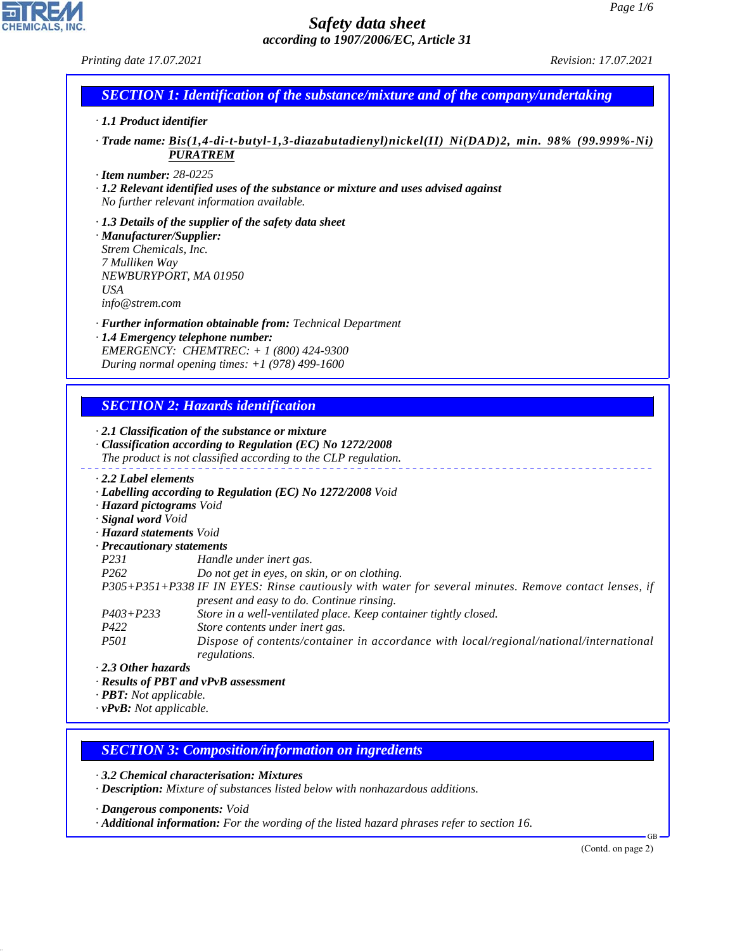*Printing date 17.07.2021 Revision: 17.07.2021*

**CHEMICALS, INC** 

# *SECTION 1: Identification of the substance/mixture and of the company/undertaking*

#### *· 1.1 Product identifier*

*· Trade name: Bis(1,4-di-t-butyl-1,3-diazabutadienyl)nickel(II) Ni(DAD)2, min. 98% (99.999%-Ni) PURATREM*

*· Item number: 28-0225*

*· 1.2 Relevant identified uses of the substance or mixture and uses advised against No further relevant information available.*

*· 1.3 Details of the supplier of the safety data sheet · Manufacturer/Supplier: Strem Chemicals, Inc. 7 Mulliken Way NEWBURYPORT, MA 01950 USA info@strem.com*

*· Further information obtainable from: Technical Department · 1.4 Emergency telephone number: EMERGENCY: CHEMTREC: + 1 (800) 424-9300 During normal opening times: +1 (978) 499-1600*

## *SECTION 2: Hazards identification*

|                                  | $\cdot$ 2.1 Classification of the substance or mixture<br>$\cdot$ Classification according to Regulation (EC) No 1272/2008<br>The product is not classified according to the CLP regulation. |
|----------------------------------|----------------------------------------------------------------------------------------------------------------------------------------------------------------------------------------------|
| 2.2 Label elements               |                                                                                                                                                                                              |
|                                  | · Labelling according to Regulation (EC) No 1272/2008 Void                                                                                                                                   |
| · Hazard pictograms Void         |                                                                                                                                                                                              |
| · Signal word Void               |                                                                                                                                                                                              |
| · Hazard statements Void         |                                                                                                                                                                                              |
| $\cdot$ Precautionary statements |                                                                                                                                                                                              |
| <i>P231</i>                      | Handle under inert gas.                                                                                                                                                                      |
| P <sub>262</sub>                 | Do not get in eyes, on skin, or on clothing.                                                                                                                                                 |
|                                  | P305+P351+P338 IF IN EYES: Rinse cautiously with water for several minutes. Remove contact lenses, if<br>present and easy to do. Continue rinsing.                                           |
| $P403 + P233$                    | Store in a well-ventilated place. Keep container tightly closed.                                                                                                                             |
| P422                             | Store contents under inert gas.                                                                                                                                                              |
| <i>P501</i><br>$2.2.01$ $-1.2.1$ | Dispose of contents/container in accordance with local/regional/national/international<br>regulations.                                                                                       |

*· 2.3 Other hazards*

44.1.1

*· Results of PBT and vPvB assessment*

*· PBT: Not applicable.*

*· vPvB: Not applicable.*

*SECTION 3: Composition/information on ingredients*

*· 3.2 Chemical characterisation: Mixtures*

*· Description: Mixture of substances listed below with nonhazardous additions.*

*· Dangerous components: Void*

*· Additional information: For the wording of the listed hazard phrases refer to section 16.*

(Contd. on page 2)

GB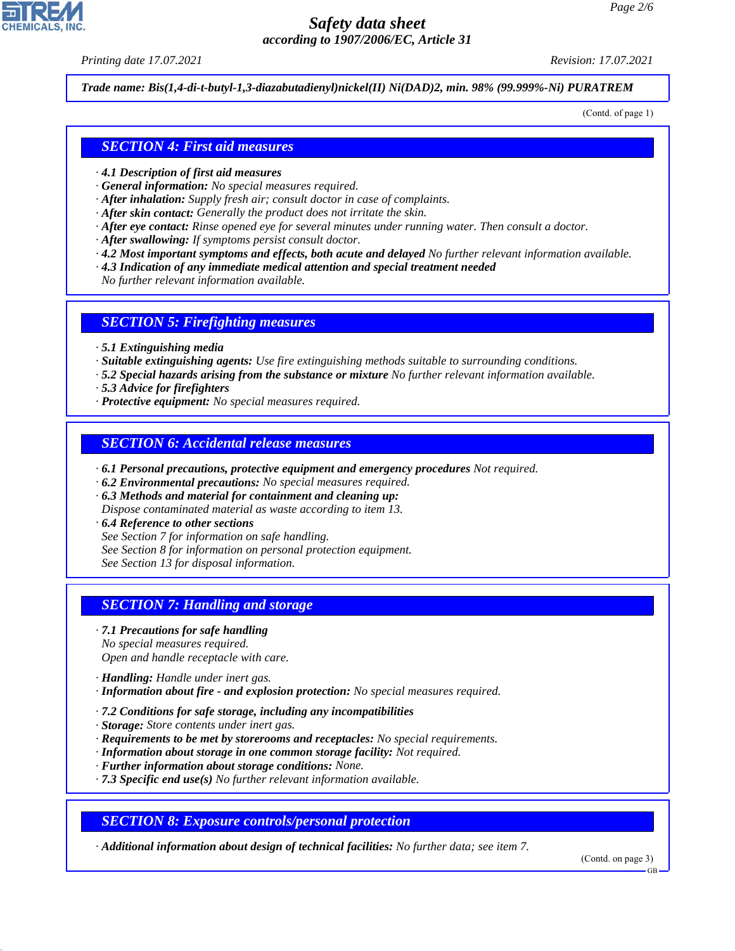*Printing date 17.07.2021 Revision: 17.07.2021*

*Trade name: Bis(1,4-di-t-butyl-1,3-diazabutadienyl)nickel(II) Ni(DAD)2, min. 98% (99.999%-Ni) PURATREM*

(Contd. of page 1)

#### *SECTION 4: First aid measures*

- *· 4.1 Description of first aid measures*
- *· General information: No special measures required.*
- *· After inhalation: Supply fresh air; consult doctor in case of complaints.*
- *· After skin contact: Generally the product does not irritate the skin.*
- *· After eye contact: Rinse opened eye for several minutes under running water. Then consult a doctor.*
- *· After swallowing: If symptoms persist consult doctor.*
- *· 4.2 Most important symptoms and effects, both acute and delayed No further relevant information available.*
- *· 4.3 Indication of any immediate medical attention and special treatment needed*
- *No further relevant information available.*

#### *SECTION 5: Firefighting measures*

- *· 5.1 Extinguishing media*
- *· Suitable extinguishing agents: Use fire extinguishing methods suitable to surrounding conditions.*
- *· 5.2 Special hazards arising from the substance or mixture No further relevant information available.*
- *· 5.3 Advice for firefighters*
- *· Protective equipment: No special measures required.*

#### *SECTION 6: Accidental release measures*

- *· 6.1 Personal precautions, protective equipment and emergency procedures Not required.*
- *· 6.2 Environmental precautions: No special measures required.*
- *· 6.3 Methods and material for containment and cleaning up:*
- *Dispose contaminated material as waste according to item 13.*
- *· 6.4 Reference to other sections*
- *See Section 7 for information on safe handling.*
- *See Section 8 for information on personal protection equipment.*
- *See Section 13 for disposal information.*

#### *SECTION 7: Handling and storage*

- *· 7.1 Precautions for safe handling No special measures required. Open and handle receptacle with care.*
- *· Handling: Handle under inert gas.*

44.1.1

- *· Information about fire and explosion protection: No special measures required.*
- *· 7.2 Conditions for safe storage, including any incompatibilities*
- *· Storage: Store contents under inert gas.*
- *· Requirements to be met by storerooms and receptacles: No special requirements.*
- *· Information about storage in one common storage facility: Not required.*
- *· Further information about storage conditions: None.*
- *· 7.3 Specific end use(s) No further relevant information available.*

*SECTION 8: Exposure controls/personal protection*

*· Additional information about design of technical facilities: No further data; see item 7.*

(Contd. on page 3)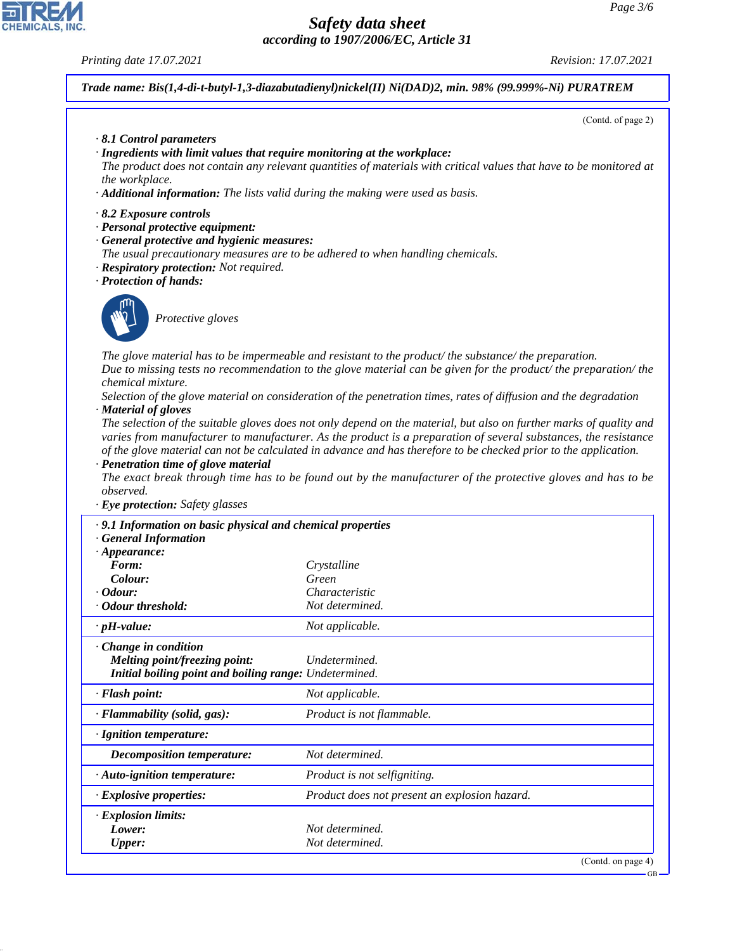#### *Printing date 17.07.2021 Revision: 17.07.2021*

*Trade name: Bis(1,4-di-t-butyl-1,3-diazabutadienyl)nickel(II) Ni(DAD)2, min. 98% (99.999%-Ni) PURATREM*

(Contd. of page 2)

- *· 8.1 Control parameters*
- *· Ingredients with limit values that require monitoring at the workplace:*
- *The product does not contain any relevant quantities of materials with critical values that have to be monitored at the workplace.*
- *· Additional information: The lists valid during the making were used as basis.*
- *· 8.2 Exposure controls*
- *· Personal protective equipment:*
- *· General protective and hygienic measures:*
- *The usual precautionary measures are to be adhered to when handling chemicals.*
- *· Respiratory protection: Not required.*
- *· Protection of hands:*



44.1.1

\_S*Protective gloves*

*The glove material has to be impermeable and resistant to the product/ the substance/ the preparation. Due to missing tests no recommendation to the glove material can be given for the product/ the preparation/ the chemical mixture.*

*Selection of the glove material on consideration of the penetration times, rates of diffusion and the degradation · Material of gloves*

*The selection of the suitable gloves does not only depend on the material, but also on further marks of quality and varies from manufacturer to manufacturer. As the product is a preparation of several substances, the resistance of the glove material can not be calculated in advance and has therefore to be checked prior to the application.*

*· Penetration time of glove material*

*The exact break through time has to be found out by the manufacturer of the protective gloves and has to be observed.*

*· Eye protection: Safety glasses*

| · 9.1 Information on basic physical and chemical properties<br><b>General Information</b>                              |                                               |
|------------------------------------------------------------------------------------------------------------------------|-----------------------------------------------|
| $\cdot$ Appearance:                                                                                                    |                                               |
| Form:                                                                                                                  | Crystalline                                   |
| Colour:                                                                                                                | Green                                         |
| $\cdot$ Odour:                                                                                                         | Characteristic                                |
| · Odour threshold:                                                                                                     | Not determined.                               |
| $\cdot$ pH-value:                                                                                                      | Not applicable.                               |
| $\cdot$ Change in condition<br>Melting point/freezing point:<br>Initial boiling point and boiling range: Undetermined. | Undetermined.                                 |
| · Flash point:                                                                                                         | Not applicable.                               |
| $\cdot$ Flammability (solid, gas):                                                                                     | Product is not flammable.                     |
| · Ignition temperature:                                                                                                |                                               |
| Decomposition temperature:                                                                                             | Not determined.                               |
| · Auto-ignition temperature:                                                                                           | Product is not selfigniting.                  |
| $\cdot$ Explosive properties:                                                                                          | Product does not present an explosion hazard. |
| $\cdot$ Explosion limits:                                                                                              |                                               |
| Lower:                                                                                                                 | Not determined.                               |
| <b>Upper:</b>                                                                                                          | Not determined.                               |
|                                                                                                                        | (Contd. on page $4$ )                         |

GB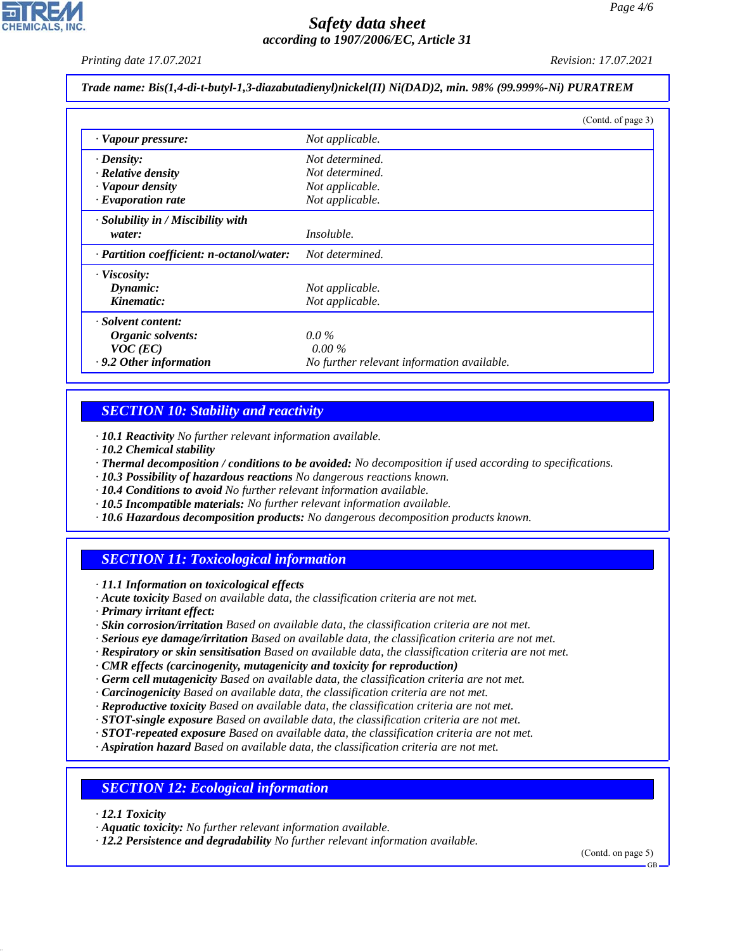*Printing date 17.07.2021 Revision: 17.07.2021*

*Trade name: Bis(1,4-di-t-butyl-1,3-diazabutadienyl)nickel(II) Ni(DAD)2, min. 98% (99.999%-Ni) PURATREM*

|                                           | (Contd. of page 3)                         |
|-------------------------------------------|--------------------------------------------|
| · Vapour pressure:                        | Not applicable.                            |
| $\cdot$ Density:                          | Not determined.                            |
| · Relative density                        | Not determined.                            |
| · Vapour density                          | Not applicable.                            |
| $\cdot$ Evaporation rate                  | Not applicable.                            |
| $\cdot$ Solubility in / Miscibility with  |                                            |
| water:                                    | <i>Insoluble.</i>                          |
| · Partition coefficient: n-octanol/water: | Not determined.                            |
| $\cdot$ Viscosity:                        |                                            |
| Dynamic:                                  | Not applicable.                            |
| Kinematic:                                | Not applicable.                            |
| · Solvent content:                        |                                            |
| Organic solvents:                         | $0.0\%$                                    |
| $VOC$ (EC)                                | $0.00\%$                                   |
| · 9.2 Other information                   | No further relevant information available. |

# *SECTION 10: Stability and reactivity*

*· 10.1 Reactivity No further relevant information available.*

- *· 10.2 Chemical stability*
- *· Thermal decomposition / conditions to be avoided: No decomposition if used according to specifications.*
- *· 10.3 Possibility of hazardous reactions No dangerous reactions known.*
- *· 10.4 Conditions to avoid No further relevant information available.*
- *· 10.5 Incompatible materials: No further relevant information available.*
- *· 10.6 Hazardous decomposition products: No dangerous decomposition products known.*

# *SECTION 11: Toxicological information*

*· 11.1 Information on toxicological effects*

*· Acute toxicity Based on available data, the classification criteria are not met.*

*· Primary irritant effect:*

- *· Skin corrosion/irritation Based on available data, the classification criteria are not met.*
- *· Serious eye damage/irritation Based on available data, the classification criteria are not met.*
- *· Respiratory or skin sensitisation Based on available data, the classification criteria are not met.*
- *· CMR effects (carcinogenity, mutagenicity and toxicity for reproduction)*
- *· Germ cell mutagenicity Based on available data, the classification criteria are not met.*
- *· Carcinogenicity Based on available data, the classification criteria are not met.*
- *· Reproductive toxicity Based on available data, the classification criteria are not met.*
- *· STOT-single exposure Based on available data, the classification criteria are not met.*
- *· STOT-repeated exposure Based on available data, the classification criteria are not met.*
- *· Aspiration hazard Based on available data, the classification criteria are not met.*

# *SECTION 12: Ecological information*

*· 12.1 Toxicity*

44.1.1

*· Aquatic toxicity: No further relevant information available.*

*· 12.2 Persistence and degradability No further relevant information available.*

(Contd. on page 5)

GB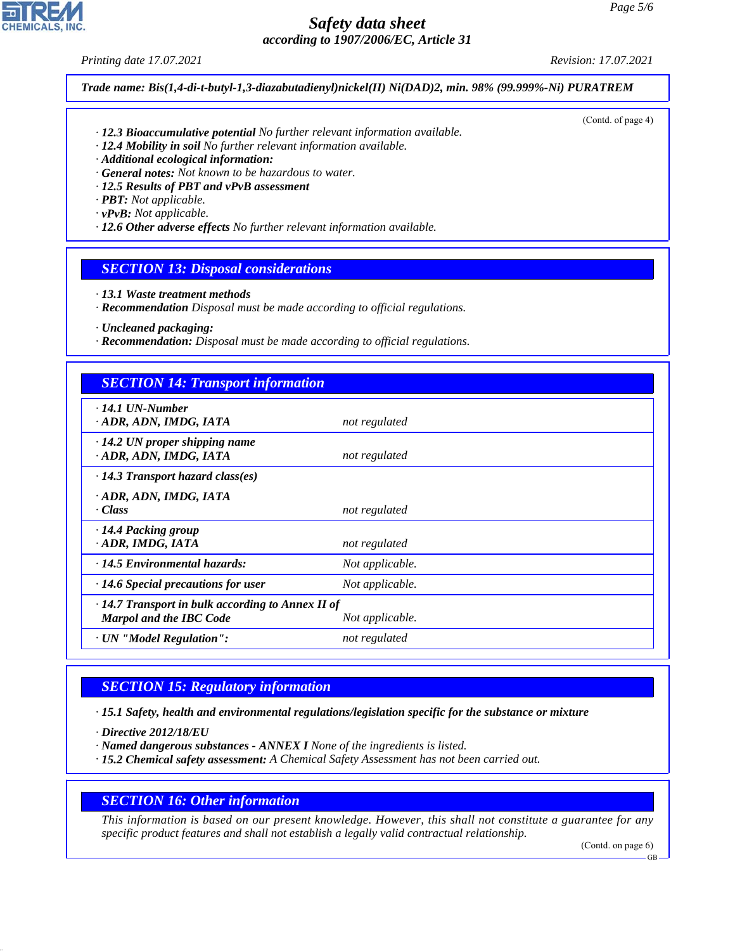*Printing date 17.07.2021 Revision: 17.07.2021*

(Contd. of page 4)

*Trade name: Bis(1,4-di-t-butyl-1,3-diazabutadienyl)nickel(II) Ni(DAD)2, min. 98% (99.999%-Ni) PURATREM*

- *· 12.3 Bioaccumulative potential No further relevant information available.*
- *· 12.4 Mobility in soil No further relevant information available.*
- *· Additional ecological information:*
- *· General notes: Not known to be hazardous to water.*
- *· 12.5 Results of PBT and vPvB assessment*
- *· PBT: Not applicable.*
- *· vPvB: Not applicable.*
- *· 12.6 Other adverse effects No further relevant information available.*

## *SECTION 13: Disposal considerations*

- *· 13.1 Waste treatment methods*
- *· Recommendation Disposal must be made according to official regulations.*
- *· Uncleaned packaging:*
- *· Recommendation: Disposal must be made according to official regulations.*

## *SECTION 14: Transport information*

| $\cdot$ 14.1 UN-Number<br>· ADR, ADN, IMDG, IATA                                    | not regulated   |
|-------------------------------------------------------------------------------------|-----------------|
| $\cdot$ 14.2 UN proper shipping name<br>· ADR, ADN, IMDG, IATA                      | not regulated   |
| $\cdot$ 14.3 Transport hazard class(es)                                             |                 |
| · ADR, ADN, IMDG, IATA<br>$\cdot Class$                                             | not regulated   |
| · 14.4 Packing group<br>· ADR, IMDG, IATA                                           | not regulated   |
| $\cdot$ 14.5 Environmental hazards:                                                 | Not applicable. |
| $\cdot$ 14.6 Special precautions for user                                           | Not applicable. |
| · 14.7 Transport in bulk according to Annex II of<br><b>Marpol and the IBC Code</b> | Not applicable. |
| · UN "Model Regulation":                                                            | not regulated   |

# *SECTION 15: Regulatory information*

*· 15.1 Safety, health and environmental regulations/legislation specific for the substance or mixture*

*· Directive 2012/18/EU*

44.1.1

- *· Named dangerous substances ANNEX I None of the ingredients is listed.*
- *· 15.2 Chemical safety assessment: A Chemical Safety Assessment has not been carried out.*

#### *SECTION 16: Other information*

*This information is based on our present knowledge. However, this shall not constitute a guarantee for any specific product features and shall not establish a legally valid contractual relationship.*

(Contd. on page 6)

GB